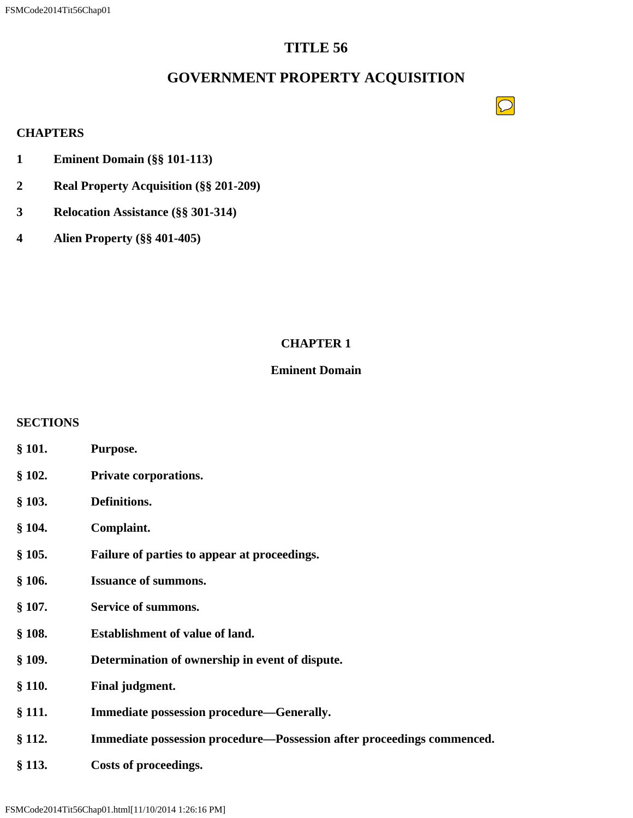# **TITLE 56**

# **GOVERNMENT PROPERTY ACQUISITION**

 $\boxed{\bigcirc}$ 

## **CHAPTERS**

- **1 Eminent Domain (§§ 101-113)**
- **2 Real Property Acquisition (§§ 201-209)**
- **3 Relocation Assistance (§§ 301-314)**
- **4 Alien Property (§§ 401-405)**

# **CHAPTER 1**

## **Eminent Domain**

## **SECTIONS**

- **§ 101. Purpose.**
- **§ 102. Private corporations.**
- **§ 103. Definitions.**
- **§ 104. Complaint.**
- **§ 105. Failure of parties to appear at proceedings.**
- **§ 106. Issuance of summons.**
- **§ 107. Service of summons.**
- **§ 108. Establishment of value of land.**
- **§ 109. Determination of ownership in event of dispute.**
- **§ 110. Final judgment.**
- **§ 111. Immediate possession procedure—Generally.**
- **§ 112. Immediate possession procedure—Possession after proceedings commenced.**
- **§ 113. Costs of proceedings.**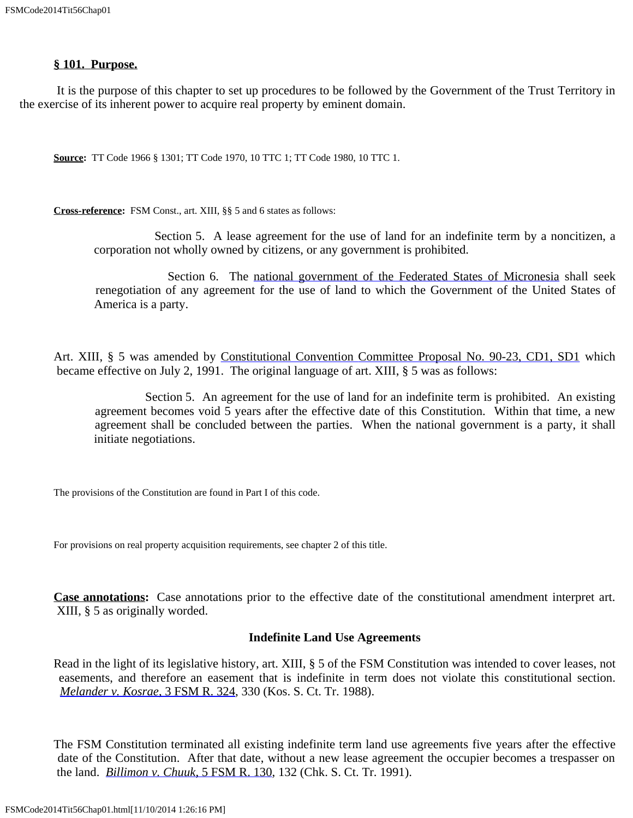#### **§ 101. Purpose.**

 It is the purpose of this chapter to set up procedures to be followed by the Government of the Trust Territory in the exercise of its inherent power to acquire real property by eminent domain.

**Source:** TT Code 1966 § 1301; TT Code 1970, 10 TTC 1; TT Code 1980, 10 TTC 1.

**Cross-reference:** FSM Const., art. XIII, §§ 5 and 6 states as follows:

Section 5. A lease agreement for the use of land for an indefinite term by a noncitizen, a corporation not wholly owned by citizens, or any government is prohibited.

 Section 6. The [national government](file:///C:%5CDesktopComp%5CDocuments%20and%20Settings%5CLISWebSite%5Cfsm%5Cconstitution%5Cid35.htm) [of the Federated States of Micronesia](file:///C:%5CDesktopComp%5CDocuments%20and%20Settings%5CLISWebSite%5Cfsm%5Cconstitution%5Cid35.htm) shall seek renegotiation of any agreement for the use of land to which the Government of the United States of America is a party.

Art. XIII, § 5 was amended by [Constitutional](file:///C:%5CDesktopComp%5CDocuments%20and%20Settings%5CLISWebSite%5Cfsm%5Cconstitution%5Camend9023.htm) [Convention](file:///C:%5CDesktopComp%5CDocuments%20and%20Settings%5CLISWebSite%5Cfsm%5Cconstitution%5Camend9023.htm) [Committee Proposal No. 90-23, CD1, SD1](file:///C:%5CDesktopComp%5CDocuments%20and%20Settings%5CLISWebSite%5Cfsm%5Cconstitution%5Camend9023.htm) which became effective on July 2, 1991. The original language of art. XIII, § 5 was as follows:

 Section 5. An agreement for the use of land for an indefinite term is prohibited. An existing agreement becomes void 5 years after the effective date of this Constitution. Within that time, a new agreement shall be concluded between the parties. When the national government is a party, it shall initiate negotiations.

The provisions of the Constitution are found in Part I of this code.

For provisions on real property acquisition requirements, see chapter 2 of this title.

**Case annotations:** Case annotations prior to the effective date of the constitutional amendment interpret art. XIII, § 5 as originally worded.

### **Indefinite Land Use Agreements**

Read in the light of its legislative history, art. XIII, § 5 of the FSM Constitution was intended to cover leases, not easements, and therefore an easement that is indefinite in term does not violate this constitutional section. *[Melander v. Kosrae](file:///C:%5CDesktopComp%5CDocuments%20and%20Settings%5CLISWebSite%5Cfsm%5Cdecisions%5Cvol3%5C3fsm324_331.htm)*[, 3 FSM R. 324](file:///C:%5CDesktopComp%5CDocuments%20and%20Settings%5CLISWebSite%5Cfsm%5Cdecisions%5Cvol3%5C3fsm324_331.htm), 330 (Kos. S. Ct. Tr. 1988).

The FSM Constitution terminated all existing indefinite term land use agreements five years after the effective date of the Constitution. After that date, without a new lease agreement the occupier becomes a trespasser on the land. *[Billimon v. Chuuk](file:///C:%5CDesktopComp%5CDocuments%20and%20Settings%5CLISWebSite%5Cfsm%5Cdecisions%5Cvol5%5C5fsm130_138.htm)*[, 5 FSM R. 130](file:///C:%5CDesktopComp%5CDocuments%20and%20Settings%5CLISWebSite%5Cfsm%5Cdecisions%5Cvol5%5C5fsm130_138.htm), 132 (Chk. S. Ct. Tr. 1991).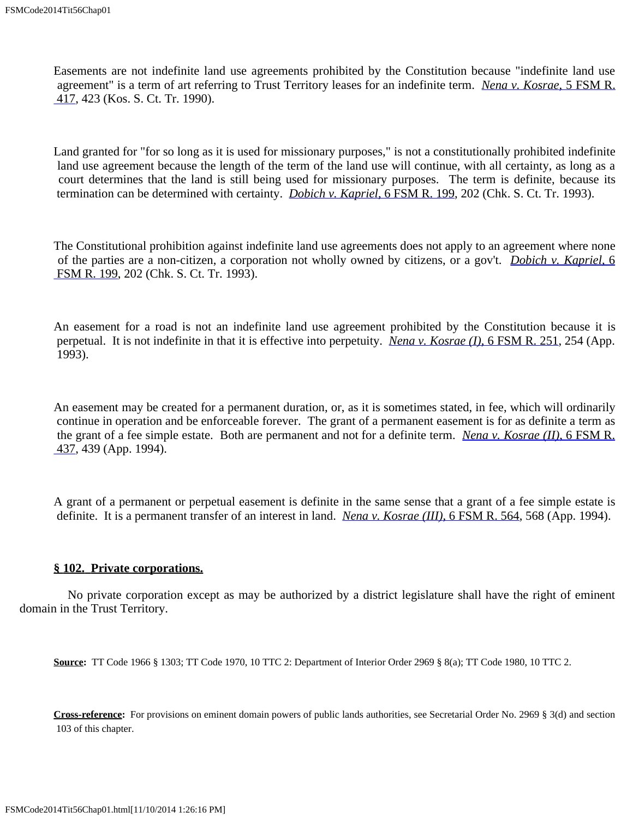Easements are not indefinite land use agreements prohibited by the Constitution because "indefinite land use agreement" is a term of art referring to Trust Territory leases for an indefinite term. *[Nena v. Kosrae](file:///C:%5CDesktopComp%5CDocuments%20and%20Settings%5CLISWebSite%5Cfsm%5Cdecisions%5Cvol5%5C5fsm417_425.htm)*[, 5 FSM R.](file:///C:%5CDesktopComp%5CDocuments%20and%20Settings%5CLISWebSite%5Cfsm%5Cdecisions%5Cvol5%5C5fsm417_425.htm)  [417](file:///C:%5CDesktopComp%5CDocuments%20and%20Settings%5CLISWebSite%5Cfsm%5Cdecisions%5Cvol5%5C5fsm417_425.htm), 423 (Kos. S. Ct. Tr. 1990).

Land granted for "for so long as it is used for missionary purposes," is not a constitutionally prohibited indefinite land use agreement because the length of the term of the land use will continue, with all certainty, as long as a court determines that the land is still being used for missionary purposes. The term is definite, because its termination can be determined with certainty. *[Dobich v. Kapriel](file:///C:%5CDesktopComp%5CDocuments%20and%20Settings%5CLISWebSite%5Cfsm%5Cdecisions%5Cvol6%5C6fsm199_203.htm)*[, 6 FSM R. 199,](file:///C:%5CDesktopComp%5CDocuments%20and%20Settings%5CLISWebSite%5Cfsm%5Cdecisions%5Cvol6%5C6fsm199_203.htm) 202 (Chk. S. Ct. Tr. 1993).

The Constitutional prohibition against indefinite land use agreements does not apply to an agreement where none of the parties are a non-citizen, a corporation not wholly owned by citizens, or a gov't. *[Dobich v. Kapriel](file:///C:%5CDesktopComp%5CDocuments%20and%20Settings%5CLISWebSite%5Cfsm%5Cdecisions%5Cvol6%5C6fsm199_203.htm)*[, 6](file:///C:%5CDesktopComp%5CDocuments%20and%20Settings%5CLISWebSite%5Cfsm%5Cdecisions%5Cvol6%5C6fsm199_203.htm)  [FSM R. 199](file:///C:%5CDesktopComp%5CDocuments%20and%20Settings%5CLISWebSite%5Cfsm%5Cdecisions%5Cvol6%5C6fsm199_203.htm), 202 (Chk. S. Ct. Tr. 1993).

An easement for a road is not an indefinite land use agreement prohibited by the Constitution because it is perpetual. It is not indefinite in that it is effective into perpetuity. *[Nena v. Kosrae \(I\)](file:///C:%5CDesktopComp%5CDocuments%20and%20Settings%5CLISWebSite%5Cfsm%5Cdecisions%5Cvol6%5C6fsm251_256.htm)*[, 6 FSM R. 251](file:///C:%5CDesktopComp%5CDocuments%20and%20Settings%5CLISWebSite%5Cfsm%5Cdecisions%5Cvol6%5C6fsm251_256.htm), 254 (App. 1993).

An easement may be created for a permanent duration, or, as it is sometimes stated, in fee, which will ordinarily continue in operation and be enforceable forever. The grant of a permanent easement is for as definite a term as the grant of a fee simple estate. Both are permanent and not for a definite term. *[Nena v. Kosrae \(II\)](file:///C:%5CDesktopComp%5CDocuments%20and%20Settings%5CLISWebSite%5Cfsm%5Cdecisions%5Cvol6%5C6fsm437_440.htm)*[, 6 FSM R.](file:///C:%5CDesktopComp%5CDocuments%20and%20Settings%5CLISWebSite%5Cfsm%5Cdecisions%5Cvol6%5C6fsm437_440.htm)  [437](file:///C:%5CDesktopComp%5CDocuments%20and%20Settings%5CLISWebSite%5Cfsm%5Cdecisions%5Cvol6%5C6fsm437_440.htm), 439 (App. 1994).

A grant of a permanent or perpetual easement is definite in the same sense that a grant of a fee simple estate is definite. It is a permanent transfer of an interest in land. *[Nena v. Kosrae \(III\)](file:///C:%5CDesktopComp%5CDocuments%20and%20Settings%5CLISWebSite%5Cfsm%5Cdecisions%5Cvol6%5C6fsm564_570.htm)*[, 6 FSM R. 564,](file:///C:%5CDesktopComp%5CDocuments%20and%20Settings%5CLISWebSite%5Cfsm%5Cdecisions%5Cvol6%5C6fsm564_570.htm) 568 (App. 1994).

### **§ 102. Private corporations.**

 No private corporation except as may be authorized by a district legislature shall have the right of eminent domain in the Trust Territory.

**Source:** TT Code 1966 § 1303; TT Code 1970, 10 TTC 2: Department of Interior Order 2969 § 8(a); TT Code 1980, 10 TTC 2.

**Cross-reference:** For provisions on eminent domain powers of public lands authorities, see Secretarial Order No. 2969 § 3(d) and section 103 of this chapter.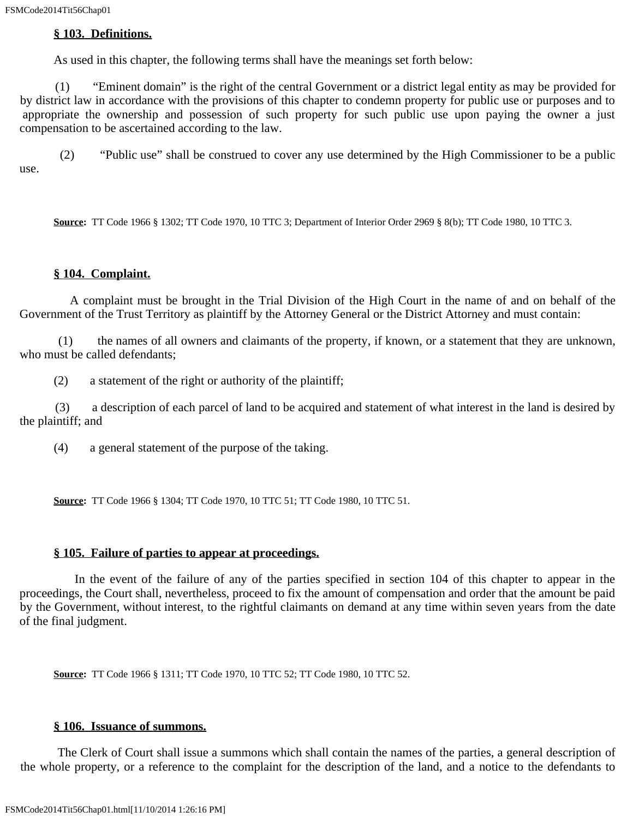## **§ 103. Definitions.**

As used in this chapter, the following terms shall have the meanings set forth below:

 (1) "Eminent domain" is the right of the central Government or a district legal entity as may be provided for by district law in accordance with the provisions of this chapter to condemn property for public use or purposes and to appropriate the ownership and possession of such property for such public use upon paying the owner a just compensation to be ascertained according to the law.

 (2) "Public use" shall be construed to cover any use determined by the High Commissioner to be a public use.

**Source:** TT Code 1966 § 1302; TT Code 1970, 10 TTC 3; Department of Interior Order 2969 § 8(b); TT Code 1980, 10 TTC 3.

## **§ 104. Complaint.**

 A complaint must be brought in the Trial Division of the High Court in the name of and on behalf of the Government of the Trust Territory as plaintiff by the Attorney General or the District Attorney and must contain:

 (1) the names of all owners and claimants of the property, if known, or a statement that they are unknown, who must be called defendants;

(2) a statement of the right or authority of the plaintiff;

 (3) a description of each parcel of land to be acquired and statement of what interest in the land is desired by the plaintiff; and

(4) a general statement of the purpose of the taking.

**Source:** TT Code 1966 § 1304; TT Code 1970, 10 TTC 51; TT Code 1980, 10 TTC 51.

## **§ 105. Failure of parties to appear at proceedings.**

 In the event of the failure of any of the parties specified in section 104 of this chapter to appear in the proceedings, the Court shall, nevertheless, proceed to fix the amount of compensation and order that the amount be paid by the Government, without interest, to the rightful claimants on demand at any time within seven years from the date of the final judgment.

**Source:** TT Code 1966 § 1311; TT Code 1970, 10 TTC 52; TT Code 1980, 10 TTC 52.

## **§ 106. Issuance of summons.**

 The Clerk of Court shall issue a summons which shall contain the names of the parties, a general description of the whole property, or a reference to the complaint for the description of the land, and a notice to the defendants to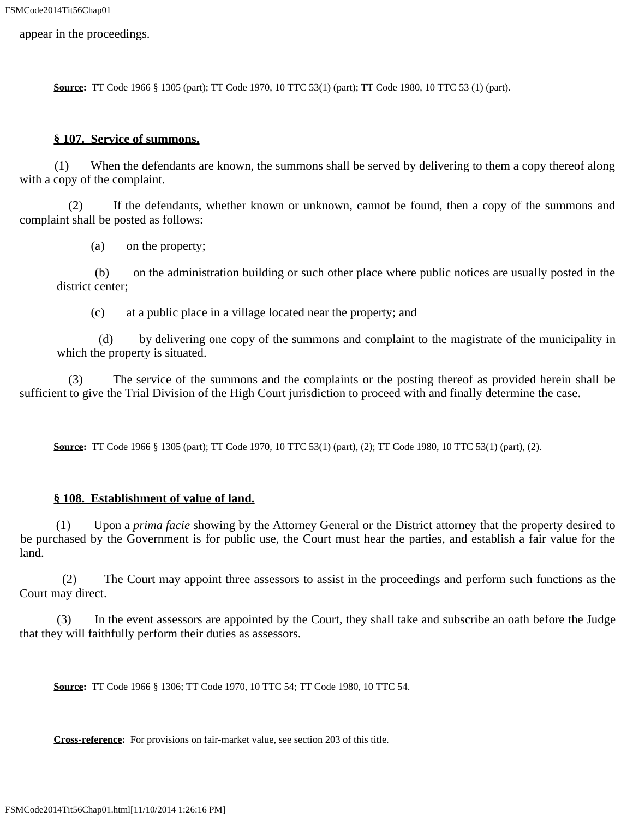appear in the proceedings.

**Source:** TT Code 1966 § 1305 (part); TT Code 1970, 10 TTC 53(1) (part); TT Code 1980, 10 TTC 53 (1) (part).

#### **§ 107. Service of summons.**

 (1) When the defendants are known, the summons shall be served by delivering to them a copy thereof along with a copy of the complaint.

 (2) If the defendants, whether known or unknown, cannot be found, then a copy of the summons and complaint shall be posted as follows:

(a) on the property;

 (b) on the administration building or such other place where public notices are usually posted in the district center:

(c) at a public place in a village located near the property; and

 (d) by delivering one copy of the summons and complaint to the magistrate of the municipality in which the property is situated.

 (3) The service of the summons and the complaints or the posting thereof as provided herein shall be sufficient to give the Trial Division of the High Court jurisdiction to proceed with and finally determine the case.

**Source:** TT Code 1966 § 1305 (part); TT Code 1970, 10 TTC 53(1) (part), (2); TT Code 1980, 10 TTC 53(1) (part), (2).

#### **§ 108. Establishment of value of land.**

 (1) Upon a *prima facie* showing by the Attorney General or the District attorney that the property desired to be purchased by the Government is for public use, the Court must hear the parties, and establish a fair value for the land.

 (2) The Court may appoint three assessors to assist in the proceedings and perform such functions as the Court may direct.

 (3) In the event assessors are appointed by the Court, they shall take and subscribe an oath before the Judge that they will faithfully perform their duties as assessors.

**Source:** TT Code 1966 § 1306; TT Code 1970, 10 TTC 54; TT Code 1980, 10 TTC 54.

**Cross-reference:** For provisions on fair-market value, see section 203 of this title.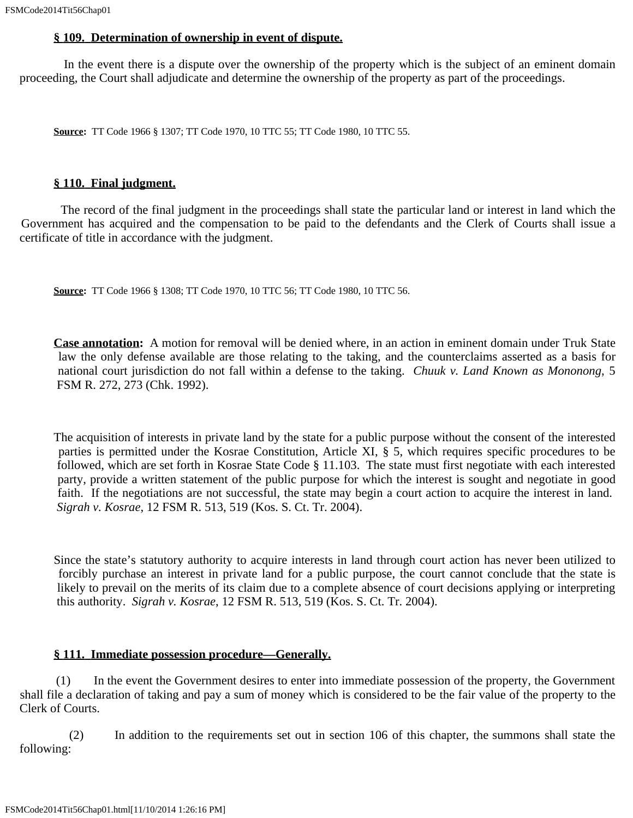#### **§ 109. Determination of ownership in event of dispute.**

 In the event there is a dispute over the ownership of the property which is the subject of an eminent domain proceeding, the Court shall adjudicate and determine the ownership of the property as part of the proceedings.

**Source:** TT Code 1966 § 1307; TT Code 1970, 10 TTC 55; TT Code 1980, 10 TTC 55.

#### **§ 110. Final judgment.**

 The record of the final judgment in the proceedings shall state the particular land or interest in land which the Government has acquired and the compensation to be paid to the defendants and the Clerk of Courts shall issue a certificate of title in accordance with the judgment.

**Source:** TT Code 1966 § 1308; TT Code 1970, 10 TTC 56; TT Code 1980, 10 TTC 56.

**Case annotation:** A motion for removal will be denied where, in an action in eminent domain under Truk State law the only defense available are those relating to the taking, and the counterclaims asserted as a basis for national court jurisdiction do not fall within a defense to the taking. *Chuuk v. Land Known as Mononong*, 5 FSM R. 272, 273 (Chk. 1992).

The acquisition of interests in private land by the state for a public purpose without the consent of the interested parties is permitted under the Kosrae Constitution, Article XI, § 5, which requires specific procedures to be followed, which are set forth in Kosrae State Code § 11.103. The state must first negotiate with each interested party, provide a written statement of the public purpose for which the interest is sought and negotiate in good faith. If the negotiations are not successful, the state may begin a court action to acquire the interest in land. *Sigrah v. Kosrae*, 12 FSM R. 513, 519 (Kos. S. Ct. Tr. 2004).

Since the state's statutory authority to acquire interests in land through court action has never been utilized to forcibly purchase an interest in private land for a public purpose, the court cannot conclude that the state is likely to prevail on the merits of its claim due to a complete absence of court decisions applying or interpreting this authority. *Sigrah v. Kosrae*, 12 FSM R. 513, 519 (Kos. S. Ct. Tr. 2004).

### **§ 111. Immediate possession procedure—Generally.**

 (1) In the event the Government desires to enter into immediate possession of the property, the Government shall file a declaration of taking and pay a sum of money which is considered to be the fair value of the property to the Clerk of Courts.

 (2) In addition to the requirements set out in section 106 of this chapter, the summons shall state the following: